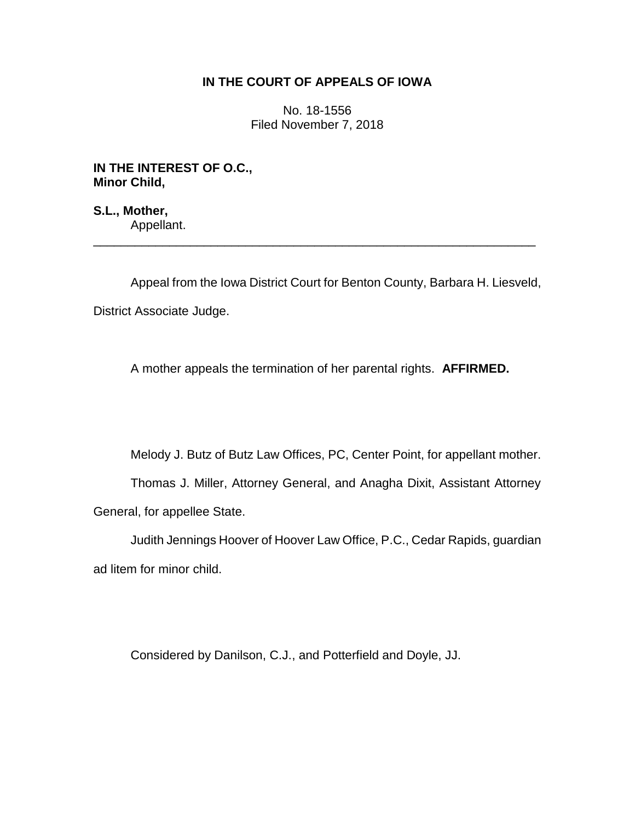## **IN THE COURT OF APPEALS OF IOWA**

No. 18-1556 Filed November 7, 2018

**IN THE INTEREST OF O.C., Minor Child,**

**S.L., Mother,** Appellant.

Appeal from the Iowa District Court for Benton County, Barbara H. Liesveld, District Associate Judge.

\_\_\_\_\_\_\_\_\_\_\_\_\_\_\_\_\_\_\_\_\_\_\_\_\_\_\_\_\_\_\_\_\_\_\_\_\_\_\_\_\_\_\_\_\_\_\_\_\_\_\_\_\_\_\_\_\_\_\_\_\_\_\_\_

A mother appeals the termination of her parental rights. **AFFIRMED.**

Melody J. Butz of Butz Law Offices, PC, Center Point, for appellant mother.

Thomas J. Miller, Attorney General, and Anagha Dixit, Assistant Attorney General, for appellee State.

Judith Jennings Hoover of Hoover Law Office, P.C., Cedar Rapids, guardian ad litem for minor child.

Considered by Danilson, C.J., and Potterfield and Doyle, JJ.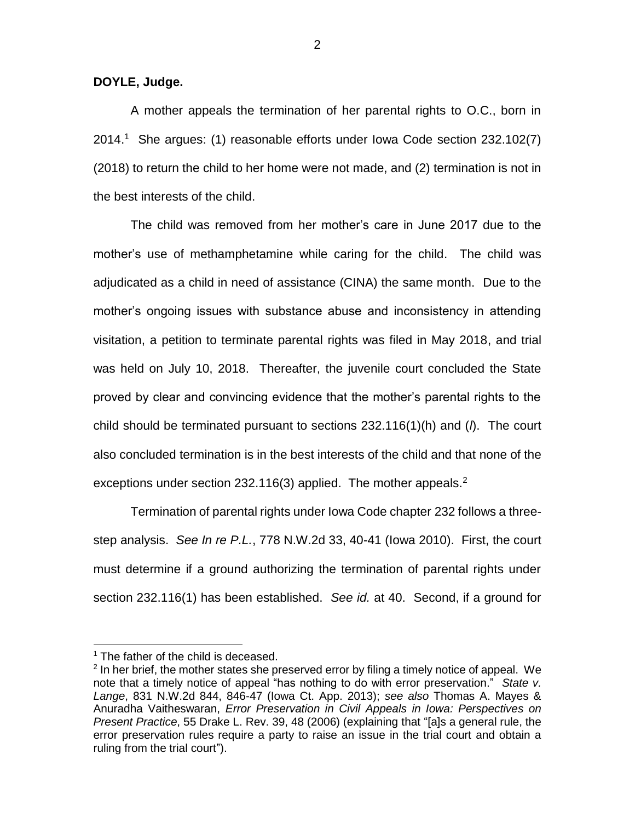**DOYLE, Judge.**

A mother appeals the termination of her parental rights to O.C., born in 2014.<sup>1</sup> She argues: (1) reasonable efforts under Iowa Code section 232.102(7) (2018) to return the child to her home were not made, and (2) termination is not in the best interests of the child.

The child was removed from her mother's care in June 2017 due to the mother's use of methamphetamine while caring for the child. The child was adjudicated as a child in need of assistance (CINA) the same month. Due to the mother's ongoing issues with substance abuse and inconsistency in attending visitation, a petition to terminate parental rights was filed in May 2018, and trial was held on July 10, 2018. Thereafter, the juvenile court concluded the State proved by clear and convincing evidence that the mother's parental rights to the child should be terminated pursuant to sections 232.116(1)(h) and (*l*). The court also concluded termination is in the best interests of the child and that none of the exceptions under section 232.116(3) applied. The mother appeals.<sup>2</sup>

Termination of parental rights under Iowa Code chapter 232 follows a threestep analysis. *See In re P.L.*, 778 N.W.2d 33, 40-41 (Iowa 2010). First, the court must determine if a ground authorizing the termination of parental rights under section 232.116(1) has been established. *See id.* at 40. Second, if a ground for

 $\overline{a}$ 

 $1$  The father of the child is deceased.

 $2$  In her brief, the mother states she preserved error by filing a timely notice of appeal. We note that a timely notice of appeal "has nothing to do with error preservation." *State v. Lange*, 831 N.W.2d 844, 846-47 (Iowa Ct. App. 2013); *see also* Thomas A. Mayes & Anuradha Vaitheswaran, *Error Preservation in Civil Appeals in Iowa: Perspectives on Present Practice*, 55 Drake L. Rev. 39, 48 (2006) (explaining that "[a]s a general rule, the error preservation rules require a party to raise an issue in the trial court and obtain a ruling from the trial court").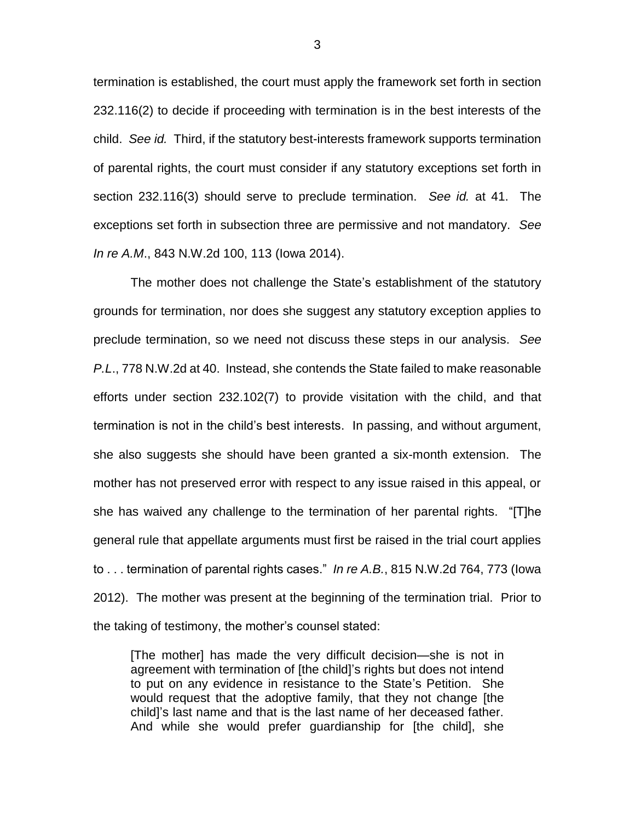termination is established, the court must apply the framework set forth in section 232.116(2) to decide if proceeding with termination is in the best interests of the child. *See id.* Third, if the statutory best-interests framework supports termination of parental rights, the court must consider if any statutory exceptions set forth in section 232.116(3) should serve to preclude termination. *See id.* at 41. The exceptions set forth in subsection three are permissive and not mandatory. *See In re A.M*., 843 N.W.2d 100, 113 (Iowa 2014).

The mother does not challenge the State's establishment of the statutory grounds for termination, nor does she suggest any statutory exception applies to preclude termination, so we need not discuss these steps in our analysis. *See P.L*., 778 N.W.2d at 40. Instead, she contends the State failed to make reasonable efforts under section 232.102(7) to provide visitation with the child, and that termination is not in the child's best interests. In passing, and without argument, she also suggests she should have been granted a six-month extension. The mother has not preserved error with respect to any issue raised in this appeal, or she has waived any challenge to the termination of her parental rights. "[T]he general rule that appellate arguments must first be raised in the trial court applies to . . . termination of parental rights cases." *In re A.B.*, 815 N.W.2d 764, 773 (Iowa 2012). The mother was present at the beginning of the termination trial. Prior to the taking of testimony, the mother's counsel stated:

[The mother] has made the very difficult decision—she is not in agreement with termination of [the child]'s rights but does not intend to put on any evidence in resistance to the State's Petition. She would request that the adoptive family, that they not change [the child]'s last name and that is the last name of her deceased father. And while she would prefer guardianship for [the child], she

3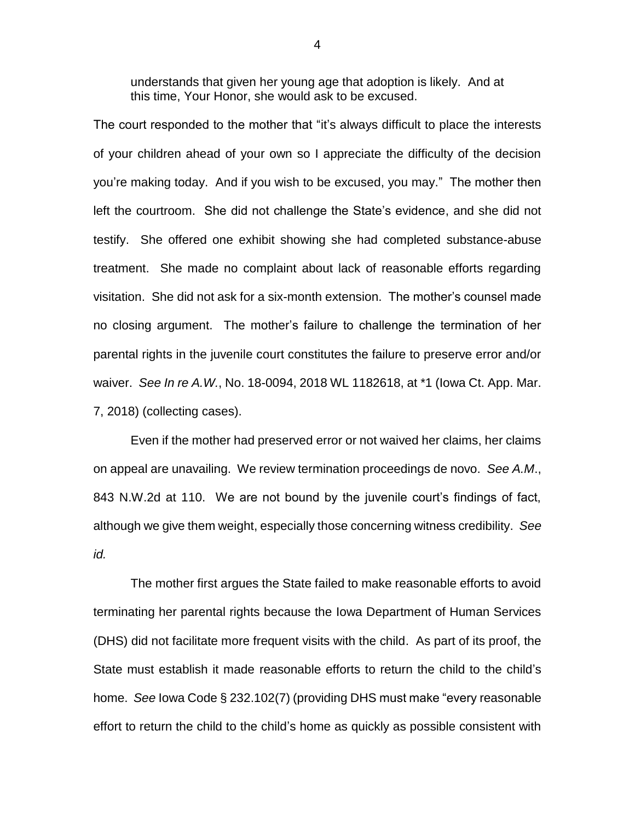understands that given her young age that adoption is likely. And at this time, Your Honor, she would ask to be excused.

The court responded to the mother that "it's always difficult to place the interests of your children ahead of your own so I appreciate the difficulty of the decision you're making today. And if you wish to be excused, you may." The mother then left the courtroom. She did not challenge the State's evidence, and she did not testify. She offered one exhibit showing she had completed substance-abuse treatment. She made no complaint about lack of reasonable efforts regarding visitation. She did not ask for a six-month extension. The mother's counsel made no closing argument. The mother's failure to challenge the termination of her parental rights in the juvenile court constitutes the failure to preserve error and/or waiver. *See In re A.W.*, No. 18-0094, 2018 WL 1182618, at \*1 (Iowa Ct. App. Mar. 7, 2018) (collecting cases).

Even if the mother had preserved error or not waived her claims, her claims on appeal are unavailing. We review termination proceedings de novo. *See A.M*., 843 N.W.2d at 110. We are not bound by the juvenile court's findings of fact, although we give them weight, especially those concerning witness credibility. *See id.*

The mother first argues the State failed to make reasonable efforts to avoid terminating her parental rights because the Iowa Department of Human Services (DHS) did not facilitate more frequent visits with the child. As part of its proof, the State must establish it made reasonable efforts to return the child to the child's home. *See* Iowa Code § 232.102(7) (providing DHS must make "every reasonable effort to return the child to the child's home as quickly as possible consistent with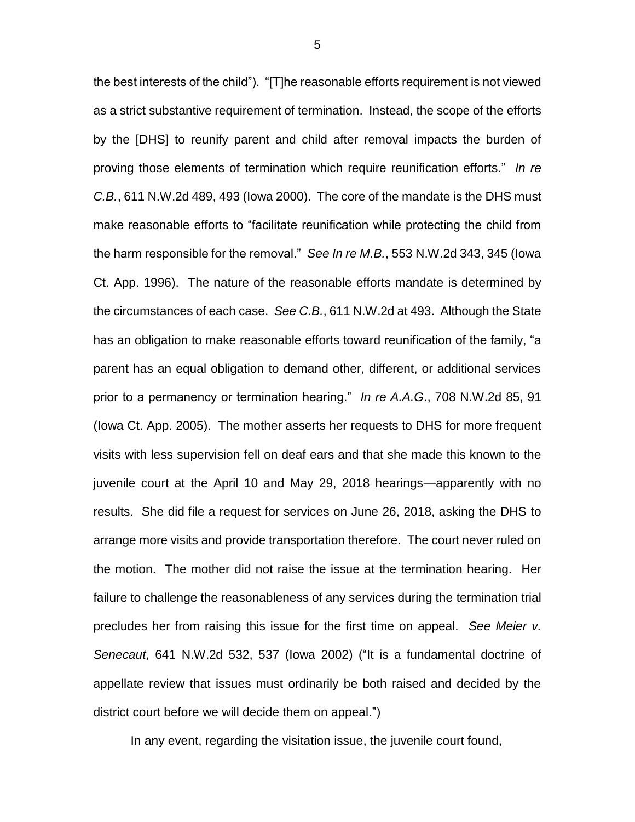the best interests of the child"). "[T]he reasonable efforts requirement is not viewed as a strict substantive requirement of termination. Instead, the scope of the efforts by the [DHS] to reunify parent and child after removal impacts the burden of proving those elements of termination which require reunification efforts." *In re C.B.*, 611 N.W.2d 489, 493 (Iowa 2000). The core of the mandate is the DHS must make reasonable efforts to "facilitate reunification while protecting the child from the harm responsible for the removal." *See In re M.B.*, 553 N.W.2d 343, 345 (Iowa Ct. App. 1996). The nature of the reasonable efforts mandate is determined by the circumstances of each case. *See C.B.*, 611 N.W.2d at 493. Although the State has an obligation to make reasonable efforts toward reunification of the family, "a parent has an equal obligation to demand other, different, or additional services prior to a permanency or termination hearing." *In re A.A.G*., 708 N.W.2d 85, 91 (Iowa Ct. App. 2005). The mother asserts her requests to DHS for more frequent visits with less supervision fell on deaf ears and that she made this known to the juvenile court at the April 10 and May 29, 2018 hearings—apparently with no results. She did file a request for services on June 26, 2018, asking the DHS to arrange more visits and provide transportation therefore. The court never ruled on the motion. The mother did not raise the issue at the termination hearing. Her failure to challenge the reasonableness of any services during the termination trial precludes her from raising this issue for the first time on appeal. *See Meier v. Senecaut*, 641 N.W.2d 532, 537 (Iowa 2002) ("It is a fundamental doctrine of appellate review that issues must ordinarily be both raised and decided by the district court before we will decide them on appeal.")

In any event, regarding the visitation issue, the juvenile court found,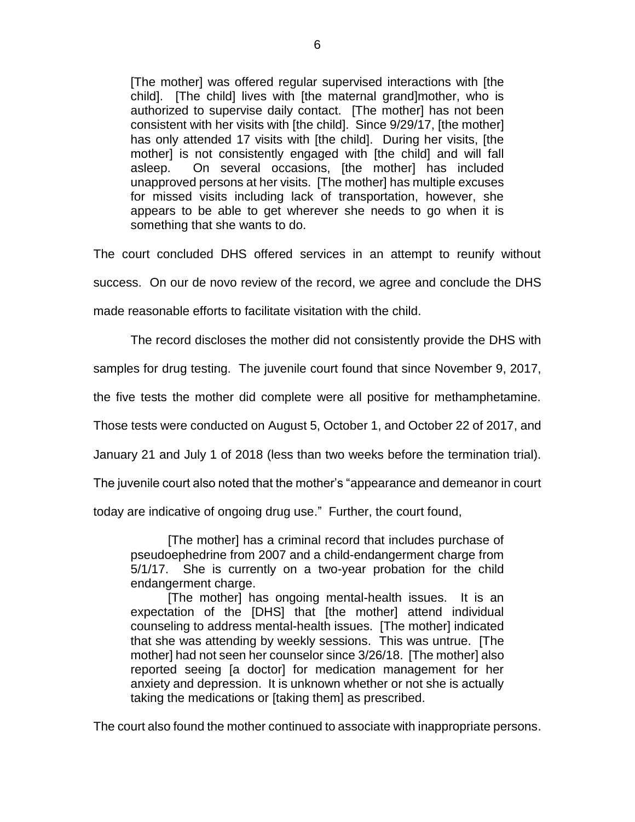[The mother] was offered regular supervised interactions with [the child]. [The child] lives with [the maternal grand]mother, who is authorized to supervise daily contact. [The mother] has not been consistent with her visits with [the child]. Since 9/29/17, [the mother] has only attended 17 visits with [the child]. During her visits, [the mother] is not consistently engaged with [the child] and will fall asleep. On several occasions, [the mother] has included unapproved persons at her visits. [The mother] has multiple excuses for missed visits including lack of transportation, however, she appears to be able to get wherever she needs to go when it is something that she wants to do.

The court concluded DHS offered services in an attempt to reunify without success. On our de novo review of the record, we agree and conclude the DHS made reasonable efforts to facilitate visitation with the child.

The record discloses the mother did not consistently provide the DHS with

samples for drug testing. The juvenile court found that since November 9, 2017,

the five tests the mother did complete were all positive for methamphetamine.

Those tests were conducted on August 5, October 1, and October 22 of 2017, and

January 21 and July 1 of 2018 (less than two weeks before the termination trial).

The juvenile court also noted that the mother's "appearance and demeanor in court

today are indicative of ongoing drug use." Further, the court found,

[The mother] has a criminal record that includes purchase of pseudoephedrine from 2007 and a child-endangerment charge from 5/1/17. She is currently on a two-year probation for the child endangerment charge.

[The mother] has ongoing mental-health issues. It is an expectation of the [DHS] that [the mother] attend individual counseling to address mental-health issues. [The mother] indicated that she was attending by weekly sessions. This was untrue. [The mother] had not seen her counselor since 3/26/18. [The mother] also reported seeing [a doctor] for medication management for her anxiety and depression. It is unknown whether or not she is actually taking the medications or [taking them] as prescribed.

The court also found the mother continued to associate with inappropriate persons.